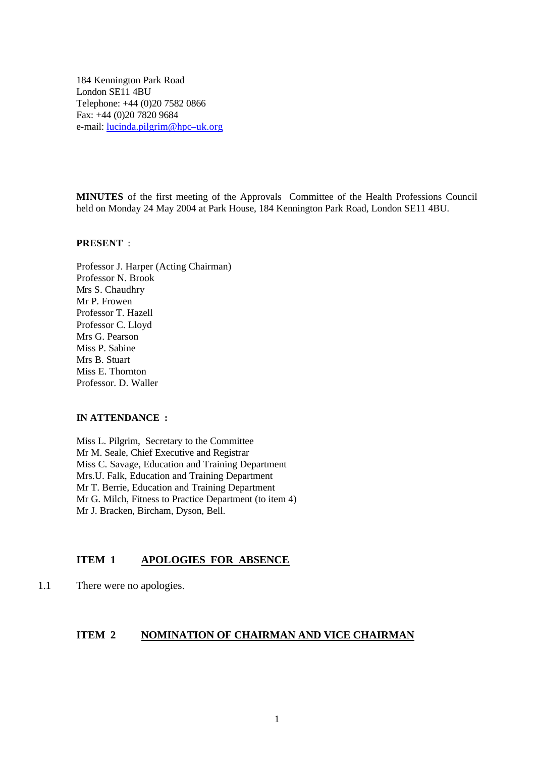184 Kennington Park Road London SE11 4BU Telephone: +44 (0)20 7582 0866 Fax: +44 (0)20 7820 9684 e-mail: lucinda.pilgrim@hpc–uk.org

**MINUTES** of the first meeting of the Approvals Committee of the Health Professions Council held on Monday 24 May 2004 at Park House, 184 Kennington Park Road, London SE11 4BU.

#### **PRESENT** :

Professor J. Harper (Acting Chairman) Professor N. Brook Mrs S. Chaudhry Mr P. Frowen Professor T. Hazell Professor C. Lloyd Mrs G. Pearson Miss P. Sabine Mrs B. Stuart Miss E. Thornton Professor. D. Waller

#### **IN ATTENDANCE :**

Miss L. Pilgrim, Secretary to the Committee Mr M. Seale, Chief Executive and Registrar Miss C. Savage, Education and Training Department Mrs.U. Falk, Education and Training Department Mr T. Berrie, Education and Training Department Mr G. Milch, Fitness to Practice Department (to item 4) Mr J. Bracken, Bircham, Dyson, Bell.

#### **ITEM 1 APOLOGIES FOR ABSENCE**

1.1 There were no apologies.

#### **ITEM 2 NOMINATION OF CHAIRMAN AND VICE CHAIRMAN**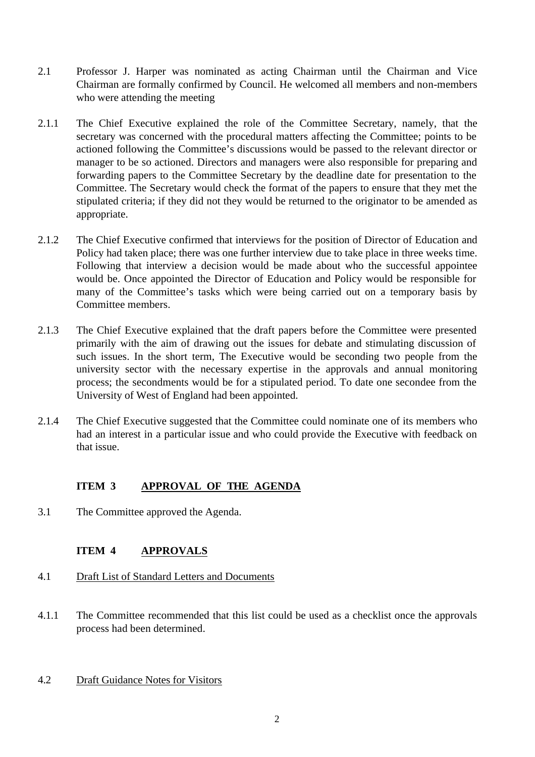- 2.1 Professor J. Harper was nominated as acting Chairman until the Chairman and Vice Chairman are formally confirmed by Council. He welcomed all members and non-members who were attending the meeting
- 2.1.1 The Chief Executive explained the role of the Committee Secretary, namely, that the secretary was concerned with the procedural matters affecting the Committee; points to be actioned following the Committee's discussions would be passed to the relevant director or manager to be so actioned. Directors and managers were also responsible for preparing and forwarding papers to the Committee Secretary by the deadline date for presentation to the Committee. The Secretary would check the format of the papers to ensure that they met the stipulated criteria; if they did not they would be returned to the originator to be amended as appropriate.
- 2.1.2 The Chief Executive confirmed that interviews for the position of Director of Education and Policy had taken place; there was one further interview due to take place in three weeks time. Following that interview a decision would be made about who the successful appointee would be. Once appointed the Director of Education and Policy would be responsible for many of the Committee's tasks which were being carried out on a temporary basis by Committee members.
- 2.1.3 The Chief Executive explained that the draft papers before the Committee were presented primarily with the aim of drawing out the issues for debate and stimulating discussion of such issues. In the short term, The Executive would be seconding two people from the university sector with the necessary expertise in the approvals and annual monitoring process; the secondments would be for a stipulated period. To date one secondee from the University of West of England had been appointed.
- 2.1.4 The Chief Executive suggested that the Committee could nominate one of its members who had an interest in a particular issue and who could provide the Executive with feedback on that issue.

# **ITEM 3 APPROVAL OF THE AGENDA**

3.1 The Committee approved the Agenda.

# **ITEM 4 APPROVALS**

- 4.1 Draft List of Standard Letters and Documents
- 4.1.1 The Committee recommended that this list could be used as a checklist once the approvals process had been determined.
- 4.2 Draft Guidance Notes for Visitors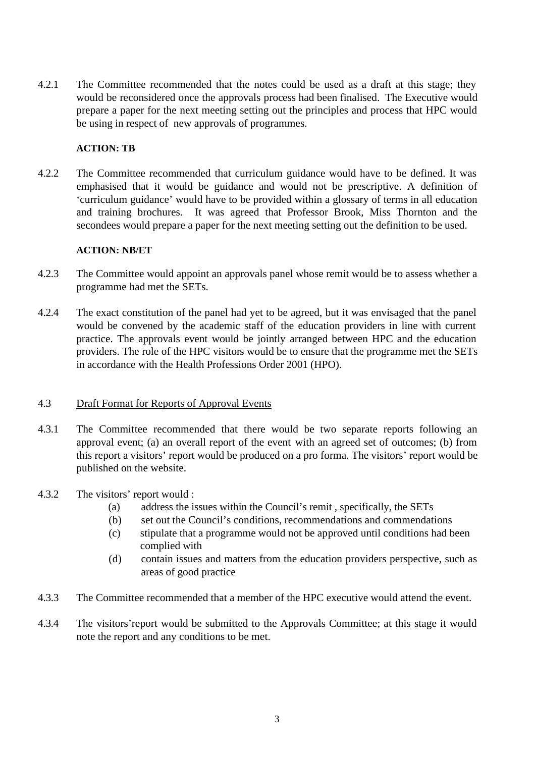4.2.1 The Committee recommended that the notes could be used as a draft at this stage; they would be reconsidered once the approvals process had been finalised. The Executive would prepare a paper for the next meeting setting out the principles and process that HPC would be using in respect of new approvals of programmes.

#### **ACTION: TB**

4.2.2 The Committee recommended that curriculum guidance would have to be defined. It was emphasised that it would be guidance and would not be prescriptive. A definition of 'curriculum guidance' would have to be provided within a glossary of terms in all education and training brochures. It was agreed that Professor Brook, Miss Thornton and the secondees would prepare a paper for the next meeting setting out the definition to be used.

#### **ACTION: NB/ET**

- 4.2.3 The Committee would appoint an approvals panel whose remit would be to assess whether a programme had met the SETs.
- 4.2.4 The exact constitution of the panel had yet to be agreed, but it was envisaged that the panel would be convened by the academic staff of the education providers in line with current practice. The approvals event would be jointly arranged between HPC and the education providers. The role of the HPC visitors would be to ensure that the programme met the SETs in accordance with the Health Professions Order 2001 (HPO).

#### 4.3 Draft Format for Reports of Approval Events

- 4.3.1 The Committee recommended that there would be two separate reports following an approval event; (a) an overall report of the event with an agreed set of outcomes; (b) from this report a visitors' report would be produced on a pro forma. The visitors' report would be published on the website.
- 4.3.2 The visitors' report would :
	- (a) address the issues within the Council's remit , specifically, the SETs
	- (b) set out the Council's conditions, recommendations and commendations
	- (c) stipulate that a programme would not be approved until conditions had been complied with
	- (d) contain issues and matters from the education providers perspective, such as areas of good practice
- 4.3.3 The Committee recommended that a member of the HPC executive would attend the event.
- 4.3.4 The visitors'report would be submitted to the Approvals Committee; at this stage it would note the report and any conditions to be met.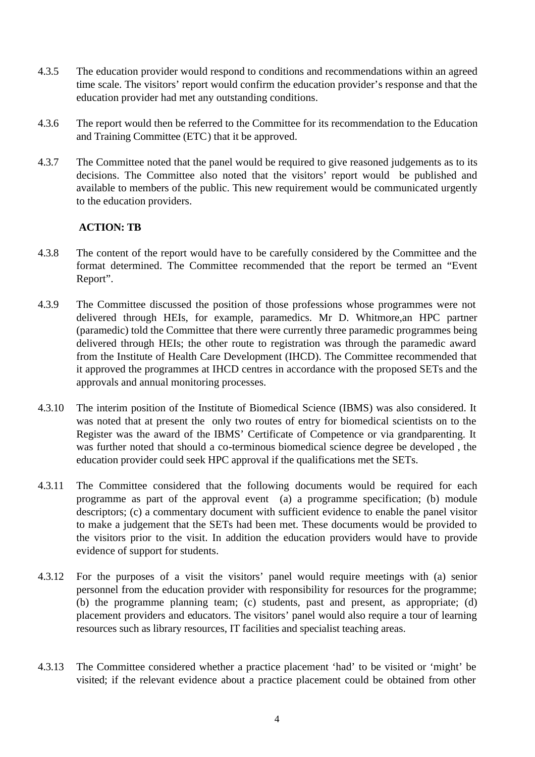- 4.3.5 The education provider would respond to conditions and recommendations within an agreed time scale. The visitors' report would confirm the education provider's response and that the education provider had met any outstanding conditions.
- 4.3.6 The report would then be referred to the Committee for its recommendation to the Education and Training Committee (ETC) that it be approved.
- 4.3.7 The Committee noted that the panel would be required to give reasoned judgements as to its decisions. The Committee also noted that the visitors' report would be published and available to members of the public. This new requirement would be communicated urgently to the education providers.

#### **ACTION: TB**

- 4.3.8 The content of the report would have to be carefully considered by the Committee and the format determined. The Committee recommended that the report be termed an "Event Report".
- 4.3.9 The Committee discussed the position of those professions whose programmes were not delivered through HEIs, for example, paramedics. Mr D. Whitmore,an HPC partner (paramedic) told the Committee that there were currently three paramedic programmes being delivered through HEIs; the other route to registration was through the paramedic award from the Institute of Health Care Development (IHCD). The Committee recommended that it approved the programmes at IHCD centres in accordance with the proposed SETs and the approvals and annual monitoring processes.
- 4.3.10 The interim position of the Institute of Biomedical Science (IBMS) was also considered. It was noted that at present the only two routes of entry for biomedical scientists on to the Register was the award of the IBMS' Certificate of Competence or via grandparenting. It was further noted that should a co-terminous biomedical science degree be developed , the education provider could seek HPC approval if the qualifications met the SETs.
- 4.3.11 The Committee considered that the following documents would be required for each programme as part of the approval event (a) a programme specification; (b) module descriptors; (c) a commentary document with sufficient evidence to enable the panel visitor to make a judgement that the SETs had been met. These documents would be provided to the visitors prior to the visit. In addition the education providers would have to provide evidence of support for students.
- 4.3.12 For the purposes of a visit the visitors' panel would require meetings with (a) senior personnel from the education provider with responsibility for resources for the programme; (b) the programme planning team; (c) students, past and present, as appropriate; (d) placement providers and educators. The visitors' panel would also require a tour of learning resources such as library resources, IT facilities and specialist teaching areas.
- 4.3.13 The Committee considered whether a practice placement 'had' to be visited or 'might' be visited; if the relevant evidence about a practice placement could be obtained from other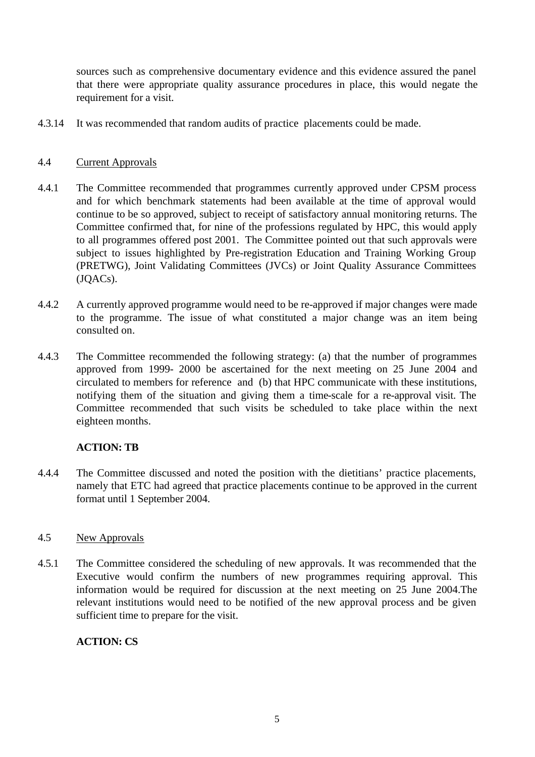sources such as comprehensive documentary evidence and this evidence assured the panel that there were appropriate quality assurance procedures in place, this would negate the requirement for a visit.

4.3.14 It was recommended that random audits of practice placements could be made.

#### 4.4 Current Approvals

- 4.4.1 The Committee recommended that programmes currently approved under CPSM process and for which benchmark statements had been available at the time of approval would continue to be so approved, subject to receipt of satisfactory annual monitoring returns. The Committee confirmed that, for nine of the professions regulated by HPC, this would apply to all programmes offered post 2001. The Committee pointed out that such approvals were subject to issues highlighted by Pre-registration Education and Training Working Group (PRETWG), Joint Validating Committees (JVCs) or Joint Quality Assurance Committees (JQACs).
- 4.4.2 A currently approved programme would need to be re-approved if major changes were made to the programme. The issue of what constituted a major change was an item being consulted on.
- 4.4.3 The Committee recommended the following strategy: (a) that the number of programmes approved from 1999- 2000 be ascertained for the next meeting on 25 June 2004 and circulated to members for reference and (b) that HPC communicate with these institutions, notifying them of the situation and giving them a time-scale for a re-approval visit. The Committee recommended that such visits be scheduled to take place within the next eighteen months.

#### **ACTION: TB**

4.4.4 The Committee discussed and noted the position with the dietitians' practice placements, namely that ETC had agreed that practice placements continue to be approved in the current format until 1 September 2004.

#### 4.5 New Approvals

4.5.1 The Committee considered the scheduling of new approvals. It was recommended that the Executive would confirm the numbers of new programmes requiring approval. This information would be required for discussion at the next meeting on 25 June 2004.The relevant institutions would need to be notified of the new approval process and be given sufficient time to prepare for the visit.

# **ACTION: CS**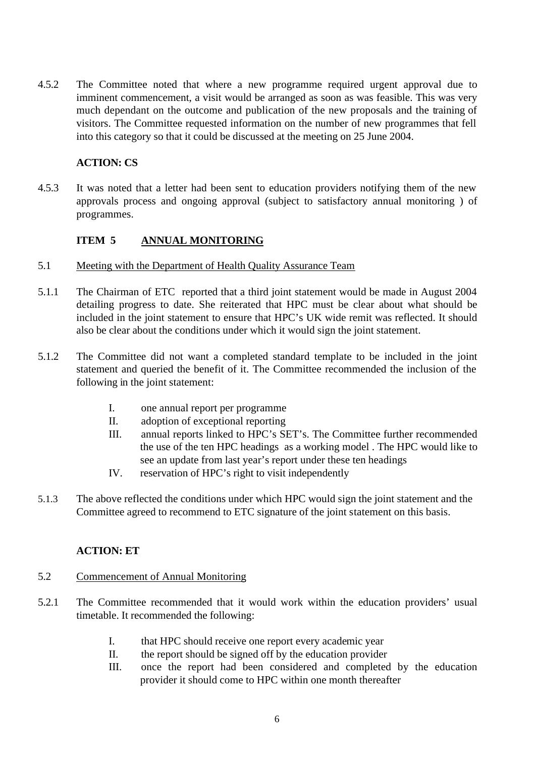4.5.2 The Committee noted that where a new programme required urgent approval due to imminent commencement, a visit would be arranged as soon as was feasible. This was very much dependant on the outcome and publication of the new proposals and the training of visitors. The Committee requested information on the number of new programmes that fell into this category so that it could be discussed at the meeting on 25 June 2004.

### **ACTION: CS**

4.5.3 It was noted that a letter had been sent to education providers notifying them of the new approvals process and ongoing approval (subject to satisfactory annual monitoring ) of programmes.

# **ITEM 5 ANNUAL MONITORING**

- 5.1 Meeting with the Department of Health Quality Assurance Team
- 5.1.1 The Chairman of ETC reported that a third joint statement would be made in August 2004 detailing progress to date. She reiterated that HPC must be clear about what should be included in the joint statement to ensure that HPC's UK wide remit was reflected. It should also be clear about the conditions under which it would sign the joint statement.
- 5.1.2 The Committee did not want a completed standard template to be included in the joint statement and queried the benefit of it. The Committee recommended the inclusion of the following in the joint statement:
	- I. one annual report per programme
	- II. adoption of exceptional reporting
	- III. annual reports linked to HPC's SET's. The Committee further recommended the use of the ten HPC headings as a working model . The HPC would like to see an update from last year's report under these ten headings
	- IV. reservation of HPC's right to visit independently
- 5.1.3 The above reflected the conditions under which HPC would sign the joint statement and the Committee agreed to recommend to ETC signature of the joint statement on this basis.

# **ACTION: ET**

#### 5.2 Commencement of Annual Monitoring

- 5.2.1 The Committee recommended that it would work within the education providers' usual timetable. It recommended the following:
	- I. that HPC should receive one report every academic year
	- II. the report should be signed off by the education provider
	- III. once the report had been considered and completed by the education provider it should come to HPC within one month thereafter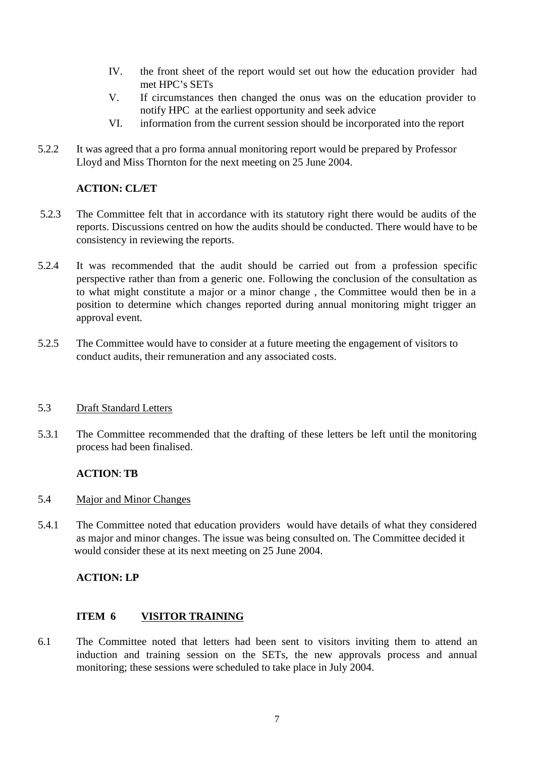- IV. the front sheet of the report would set out how the education provider had met HPC's SETs
- V. If circumstances then changed the onus was on the education provider to notify HPC at the earliest opportunity and seek advice
- VI. information from the current session should be incorporated into the report
- 5.2.2 It was agreed that a pro forma annual monitoring report would be prepared by Professor Lloyd and Miss Thornton for the next meeting on 25 June 2004.

## **ACTION: CL/ET**

- 5.2.3 The Committee felt that in accordance with its statutory right there would be audits of the reports. Discussions centred on how the audits should be conducted. There would have to be consistency in reviewing the reports.
- 5.2.4 It was recommended that the audit should be carried out from a profession specific perspective rather than from a generic one. Following the conclusion of the consultation as to what might constitute a major or a minor change , the Committee would then be in a position to determine which changes reported during annual monitoring might trigger an approval event.
- 5.2.5 The Committee would have to consider at a future meeting the engagement of visitors to conduct audits, their remuneration and any associated costs.

#### 5.3 Draft Standard Letters

5.3.1 The Committee recommended that the drafting of these letters be left until the monitoring process had been finalised.

#### **ACTION**: **TB**

- 5.4 Major and Minor Changes
- 5.4.1 The Committee noted that education providers would have details of what they considered as major and minor changes. The issue was being consulted on. The Committee decided it would consider these at its next meeting on 25 June 2004.

# **ACTION: LP**

#### **ITEM 6 VISITOR TRAINING**

6.1 The Committee noted that letters had been sent to visitors inviting them to attend an induction and training session on the SETs, the new approvals process and annual monitoring; these sessions were scheduled to take place in July 2004.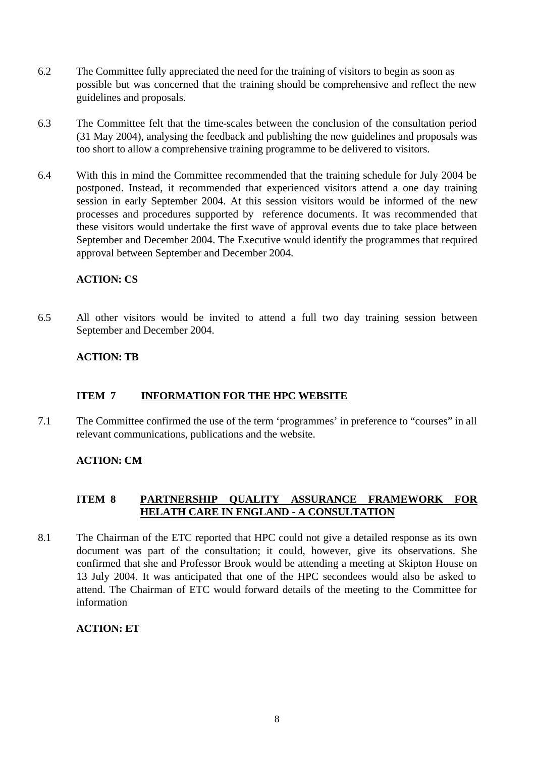- 6.2 The Committee fully appreciated the need for the training of visitors to begin as soon as possible but was concerned that the training should be comprehensive and reflect the new guidelines and proposals.
- 6.3 The Committee felt that the time-scales between the conclusion of the consultation period (31 May 2004), analysing the feedback and publishing the new guidelines and proposals was too short to allow a comprehensive training programme to be delivered to visitors.
- 6.4 With this in mind the Committee recommended that the training schedule for July 2004 be postponed. Instead, it recommended that experienced visitors attend a one day training session in early September 2004. At this session visitors would be informed of the new processes and procedures supported by reference documents. It was recommended that these visitors would undertake the first wave of approval events due to take place between September and December 2004. The Executive would identify the programmes that required approval between September and December 2004.

## **ACTION: CS**

6.5 All other visitors would be invited to attend a full two day training session between September and December 2004.

## **ACTION: TB**

#### **ITEM 7 INFORMATION FOR THE HPC WEBSITE**

7.1 The Committee confirmed the use of the term 'programmes' in preference to "courses" in all relevant communications, publications and the website.

#### **ACTION: CM**

#### **ITEM 8 PARTNERSHIP QUALITY ASSURANCE FRAMEWORK FOR HELATH CARE IN ENGLAND - A CONSULTATION**

8.1 The Chairman of the ETC reported that HPC could not give a detailed response as its own document was part of the consultation; it could, however, give its observations. She confirmed that she and Professor Brook would be attending a meeting at Skipton House on 13 July 2004. It was anticipated that one of the HPC secondees would also be asked to attend. The Chairman of ETC would forward details of the meeting to the Committee for information

#### **ACTION: ET**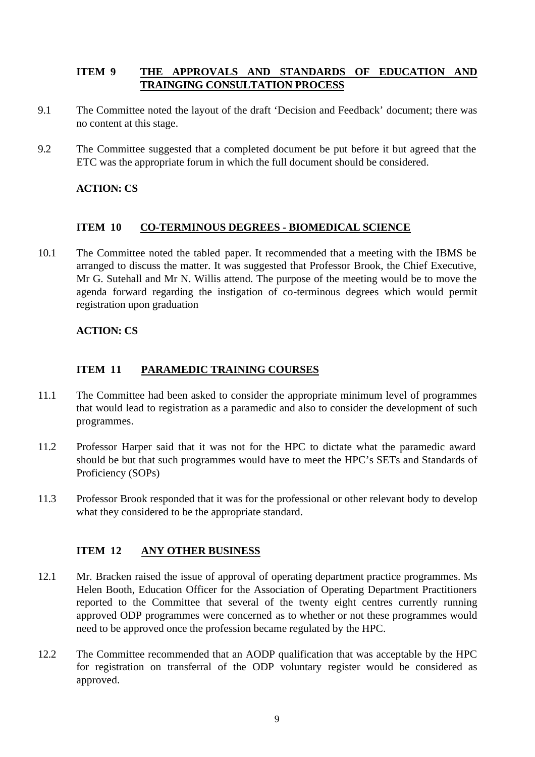## **ITEM 9 THE APPROVALS AND STANDARDS OF EDUCATION AND TRAINGING CONSULTATION PROCESS**

- 9.1 The Committee noted the layout of the draft 'Decision and Feedback' document; there was no content at this stage.
- 9.2 The Committee suggested that a completed document be put before it but agreed that the ETC was the appropriate forum in which the full document should be considered.

## **ACTION: CS**

#### **ITEM 10 CO-TERMINOUS DEGREES - BIOMEDICAL SCIENCE**

10.1 The Committee noted the tabled paper. It recommended that a meeting with the IBMS be arranged to discuss the matter. It was suggested that Professor Brook, the Chief Executive, Mr G. Sutehall and Mr N. Willis attend. The purpose of the meeting would be to move the agenda forward regarding the instigation of co-terminous degrees which would permit registration upon graduation

## **ACTION: CS**

## **ITEM 11 PARAMEDIC TRAINING COURSES**

- 11.1 The Committee had been asked to consider the appropriate minimum level of programmes that would lead to registration as a paramedic and also to consider the development of such programmes.
- 11.2 Professor Harper said that it was not for the HPC to dictate what the paramedic award should be but that such programmes would have to meet the HPC's SETs and Standards of Proficiency (SOPs)
- 11.3 Professor Brook responded that it was for the professional or other relevant body to develop what they considered to be the appropriate standard.

#### **ITEM 12 ANY OTHER BUSINESS**

- 12.1 Mr. Bracken raised the issue of approval of operating department practice programmes. Ms Helen Booth, Education Officer for the Association of Operating Department Practitioners reported to the Committee that several of the twenty eight centres currently running approved ODP programmes were concerned as to whether or not these programmes would need to be approved once the profession became regulated by the HPC.
- 12.2 The Committee recommended that an AODP qualification that was acceptable by the HPC for registration on transferral of the ODP voluntary register would be considered as approved.